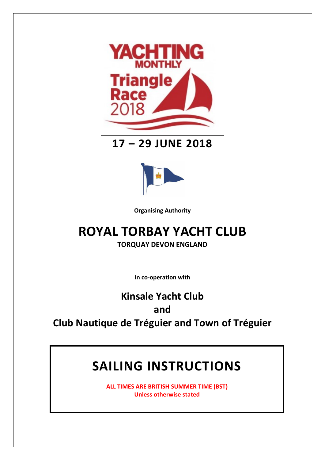

## **17 – 29 JUNE 2018**



**Organising Authority**

# **ROYAL TORBAY YACHT CLUB**

**TORQUAY DEVON ENGLAND**

**In co-operation with**

# **Kinsale Yacht Club and Club Nautique de Tréguier and Town of Tréguier**

# **SAILING INSTRUCTIONS**

**ALL TIMES ARE BRITISH SUMMER TIME (BST) Unless otherwise stated**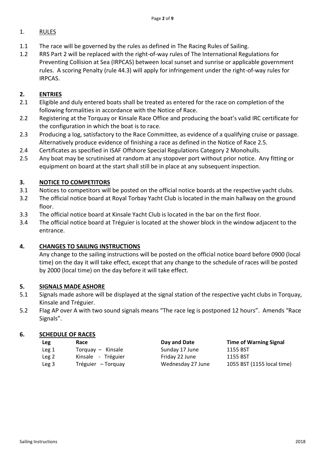#### 1. RULES

- 1.1 The race will be governed by the rules as defined in The Racing Rules of Sailing.
- 1.2 RRS Part 2 will be replaced with the right-of-way rules of The International Regulations for Preventing Collision at Sea (IRPCAS) between local sunset and sunrise or applicable government rules. A scoring Penalty (rule 44.3) will apply for infringement under the right-of-way rules for IRPCAS.

#### **2. ENTRIES**

- 2.1 Eligible and duly entered boats shall be treated as entered for the race on completion of the following formalities in accordance with the Notice of Race.
- 2.2 Registering at the Torquay or Kinsale Race Office and producing the boat's valid IRC certificate for the configuration in which the boat is to race.
- 2.3 Producing a log, satisfactory to the Race Committee, as evidence of a qualifying cruise or passage. Alternatively produce evidence of finishing a race as defined in the Notice of Race 2.5.
- 2.4 Certificates as specified in ISAF Offshore Special Regulations Category 2 Monohulls.
- 2.5 Any boat may be scrutinised at random at any stopover port without prior notice. Any fitting or equipment on board at the start shall still be in place at any subsequent inspection.

#### **3. NOTICE TO COMPETITORS**

- 3.1 Notices to competitors will be posted on the official notice boards at the respective yacht clubs.
- 3.2 The official notice board at Royal Torbay Yacht Club is located in the main hallway on the ground floor.
- 3.3 The official notice board at Kinsale Yacht Club is located in the bar on the first floor.
- 3.4 The official notice board at Tréguier is located at the shower block in the window adjacent to the entrance.

#### **4. CHANGES TO SAILING INSTRUCTIONS**

Any change to the sailing instructions will be posted on the official notice board before 0900 (local time) on the day it will take effect, except that any change to the schedule of races will be posted by 2000 (local time) on the day before it will take effect.

#### **5. SIGNALS MADE ASHORE**

- 5.1 Signals made ashore will be displayed at the signal station of the respective yacht clubs in Torquay, Kinsale and Tréguier.
- 5.2 Flag AP over A with two sound signals means "The race leg is postponed 12 hours". Amends "Race Signals".

#### **6. SCHEDULE OF RACES**

| Leg   | Race               | Day and Date      | <b>Time of Warning Signal</b> |
|-------|--------------------|-------------------|-------------------------------|
| Leg 1 | Torquay - Kinsale  | Sunday 17 June    | 1155 BST                      |
| Leg 2 | Kinsale - Tréguier | Friday 22 June    | 1155 BST                      |
| Leg 3 | Tréguier – Torquay | Wednesday 27 June | 1055 BST (1155 local time)    |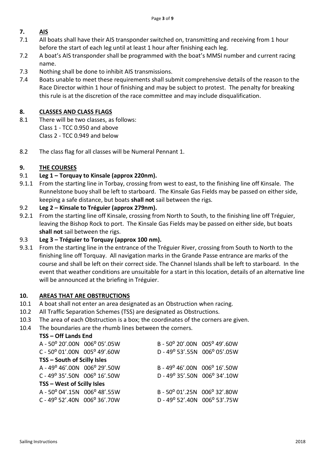#### **7. AIS**

- 7.1 All boats shall have their AIS transponder switched on, transmitting and receiving from 1 hour before the start of each leg until at least 1 hour after finishing each leg.
- 7.2 A boat's AIS transponder shall be programmed with the boat's MMSI number and current racing name.
- 7.3 Nothing shall be done to inhibit AIS transmissions.
- 7.4 Boats unable to meet these requirements shall submit comprehensive details of the reason to the Race Director within 1 hour of finishing and may be subject to protest. The penalty for breaking this rule is at the discretion of the race committee and may include disqualification.

#### **8. CLASSES AND CLASS FLAGS**

- 8.1 There will be two classes, as follows: Class 1 - TCC 0.950 and above Class 2 - TCC 0.949 and below
- 8.2 The class flag for all classes will be Numeral Pennant 1.

#### **9. THE COURSES**

#### 9.1 **Leg 1 – Torquay to Kinsale (approx 220nm).**

9.1.1 From the starting line in Torbay, crossing from west to east, to the finishing line off Kinsale. The Runnelstone buoy shall be left to starboard. The Kinsale Gas Fields may be passed on either side, keeping a safe distance, but boats **shall not** sail between the rigs.

#### 9.2 **Leg 2 – Kinsale to Tréguier (approx 279nm).**

9.2.1 From the starting line off Kinsale, crossing from North to South, to the finishing line off Tréguier, leaving the Bishop Rock to port. The Kinsale Gas Fields may be passed on either side, but boats **shall not** sail between the rigs.

#### 9.3 **Leg 3 – Tréguier to Torquay (approx 100 nm).**

9.3.1 From the starting line in the entrance of the Tréguier River, crossing from South to North to the finishing line off Torquay. All navigation marks in the Grande Passe entrance are marks of the course and shall be left on their correct side. The Channel Islands shall be left to starboard. In the event that weather conditions are unsuitable for a start in this location, details of an alternative line will be announced at the briefing in Tréguier.

#### **10. AREAS THAT ARE OBSTRUCTIONS**

- 10.1 A boat shall not enter an area designated as an Obstruction when racing.
- 10.2 All Traffic Separation Schemes (TSS) are designated as Obstructions.
- 10.3 The area of each Obstruction is a box; the coordinates of the corners are given.
- 10.4 The boundaries are the rhumb lines between the corners.

#### **TSS – Off Lands End**

| A - 50° 20'.00N 006° 05'.05W                     |  | B - 50° 20'.00N 005° 49'.60W                     |  |  |  |  |
|--------------------------------------------------|--|--------------------------------------------------|--|--|--|--|
| $C - 50^{\circ} 01'$ .00N 005° 49'.60W           |  | D - 49° 53'.55N 006° 05'.05W                     |  |  |  |  |
| TSS - South of Scilly Isles                      |  |                                                  |  |  |  |  |
| A - 49° 46'.00N 006° 29'.50W                     |  | B - 49° 46'.00N 006° 16'.50W                     |  |  |  |  |
| C - 49 $^{\circ}$ 35'.50N 006 $^{\circ}$ 16'.50W |  | D - 49 $^{\circ}$ 35'.50N 006 $^{\circ}$ 34'.10W |  |  |  |  |
| TSS - West of Scilly Isles                       |  |                                                  |  |  |  |  |
| A - 50° 04'.15N 006° 48'.55W                     |  | B - 50° 01'.25N 006° 32'.80W                     |  |  |  |  |
| $C - 49^{\circ}$ 52'.40N 006° 36'.70W            |  | D - 49° 52'.40N 006° 53'.75W                     |  |  |  |  |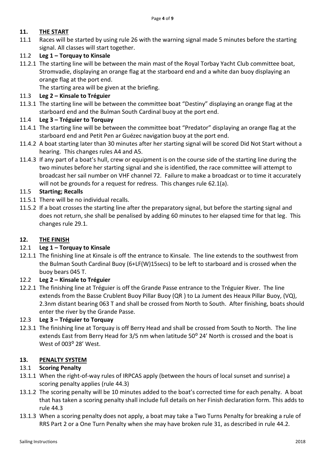#### **11. THE START**

11.1 Races will be started by using rule 26 with the warning signal made 5 minutes before the starting signal. All classes will start together.

#### 11.2 **Leg 1 – Torquay to Kinsale**

11.2.1 The starting line will be between the main mast of the Royal Torbay Yacht Club committee boat, Stromvadie, displaying an orange flag at the starboard end and a white dan buoy displaying an orange flag at the port end.

The starting area will be given at the briefing.

#### 11.3 **Leg 2 – Kinsale to Tréguier**

11.3.1 The starting line will be between the committee boat "Destiny" displaying an orange flag at the starboard end and the Bulman South Cardinal buoy at the port end.

#### 11.4 **Leg 3 – Tréguier to Torquay**

- 11.4.1 The starting line will be between the committee boat "Predator" displaying an orange flag at the starboard end and Petit Pen ar Guézec navigation buoy at the port end.
- 11.4.2 A boat starting later than 30 minutes after her starting signal will be scored Did Not Start without a hearing. This changes rules A4 and A5.
- 11.4.3 If any part of a boat's hull, crew or equipment is on the course side of the starting line during the two minutes before her starting signal and she is identified, the race committee will attempt to broadcast her sail number on VHF channel 72. Failure to make a broadcast or to time it accurately will not be grounds for a request for redress. This changes rule 62.1(a).

#### 11.5 **Starting; Recalls**

- 11.5.1 There will be no individual recalls.
- 11.5.2 If a boat crosses the starting line after the preparatory signal, but before the starting signal and does not return, she shall be penalised by adding 60 minutes to her elapsed time for that leg. This changes rule 29.1.

#### **12. THE FINISH**

#### 12.1 **Leg 1 – Torquay to Kinsale**

12.1.1 The finishing line at Kinsale is off the entrance to Kinsale. The line extends to the southwest from the Bulman South Cardinal Buoy (6+LF(W)15secs) to be left to starboard and is crossed when the buoy bears 045 T.

#### 12.2 **Leg 2 – Kinsale to Tréguier**

12.2.1 The finishing line at Tréguier is off the Grande Passe entrance to the Tréguier River. The line extends from the Basse Crublent Buoy Pillar Buoy (QR ) to La Jument des Heaux Pillar Buoy, (VQ), 2.3nm distant bearing 063 T and shall be crossed from North to South. After finishing, boats should enter the river by the Grande Passe.

#### 12.3 **Leg 3 – Tréguier to Torquay**

12.3.1 The finishing line at Torquay is off Berry Head and shall be crossed from South to North. The line extends East from Berry Head for 3/5 nm when latitude 50<sup>o</sup> 24' North is crossed and the boat is West of 003° 28' West.

#### **13. PENALTY SYSTEM**

#### 13.1 **Scoring Penalty**

- 13.1.1 When the right-of-way rules of IRPCAS apply (between the hours of local sunset and sunrise) a scoring penalty applies (rule 44.3)
- 13.1.2 The scoring penalty will be 10 minutes added to the boat's corrected time for each penalty. A boat that has taken a scoring penalty shall include full details on her Finish declaration form. This adds to rule 44.3
- 13.1.3 When a scoring penalty does not apply, a boat may take a Two Turns Penalty for breaking a rule of RRS Part 2 or a One Turn Penalty when she may have broken rule 31, as described in rule 44.2.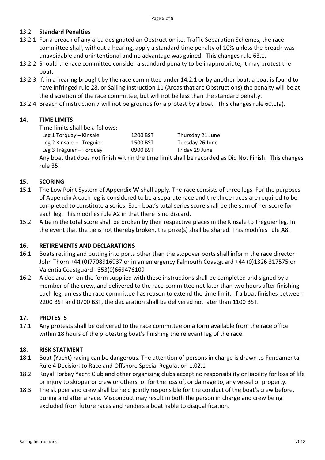#### 13.2 **Standard Penalties**

- 13.2.1 For a breach of any area designated an Obstruction i.e. Traffic Separation Schemes, the race committee shall, without a hearing, apply a standard time penalty of 10% unless the breach was unavoidable and unintentional and no advantage was gained. This changes rule 63.1.
- 13.2.2 Should the race committee consider a standard penalty to be inappropriate, it may protest the boat.
- 13.2.3 If, in a hearing brought by the race committee under 14.2.1 or by another boat, a boat is found to have infringed rule 28, or Sailing Instruction 11 (Areas that are Obstructions) the penalty will be at the discretion of the race committee, but will not be less than the standard penalty.
- 13.2.4 Breach of instruction 7 will not be grounds for a protest by a boat. This changes rule 60.1(a).

#### **14. TIME LIMITS**

Time limits shall be a follows:-

Leg 1 Torquay – Kinsale 1200 BST Thursday 21 June Leg 2 Kinsale – Tréguier 1500 BST Tuesday 26 June Leg 3 Tréguier – Torquay **0900 BST** Friday 29 June

Any boat that does not finish within the time limit shall be recorded as Did Not Finish. This changes rule 35.

#### **15. SCORING**

- 15.1 The Low Point System of Appendix 'A' shall apply. The race consists of three legs. For the purposes of Appendix A each leg is considered to be a separate race and the three races are required to be completed to constitute a series. Each boat's total series score shall be the sum of her score for each leg. This modifies rule A2 in that there is no discard.
- 15.2 A tie in the total score shall be broken by their respective places in the Kinsale to Tréguier leg. In the event that the tie is not thereby broken, the prize(s) shall be shared. This modifies rule A8.

#### **16. RETIREMENTS AND DECLARATIONS**

- 16.1 Boats retiring and putting into ports other than the stopover ports shall inform the race director John Thorn +44 (0)7708916937 or in an emergency Falmouth Coastguard +44 (0)1326 317575 or Valentia Coastguard +353(0)669476109
- 16.2 A declaration on the form supplied with these instructions shall be completed and signed by a member of the crew, and delivered to the race committee not later than two hours after finishing each leg, unless the race committee has reason to extend the time limit. If a boat finishes between 2200 BST and 0700 BST, the declaration shall be delivered not later than 1100 BST.

#### **17. PROTESTS**

17.1 Any protests shall be delivered to the race committee on a form available from the race office within 18 hours of the protesting boat's finishing the relevant leg of the race.

#### **18. RISK STATMENT**

- 18.1 Boat (Yacht) racing can be dangerous. The attention of persons in charge is drawn to Fundamental Rule 4 Decision to Race and Offshore Special Regulation 1.02.1
- 18.2 Royal Torbay Yacht Club and other organising clubs accept no responsibility or liability for loss of life or injury to skipper or crew or others, or for the loss of, or damage to, any vessel or property.
- 18.3 The skipper and crew shall be held jointly responsible for the conduct of the boat's crew before, during and after a race. Misconduct may result in both the person in charge and crew being excluded from future races and renders a boat liable to disqualification.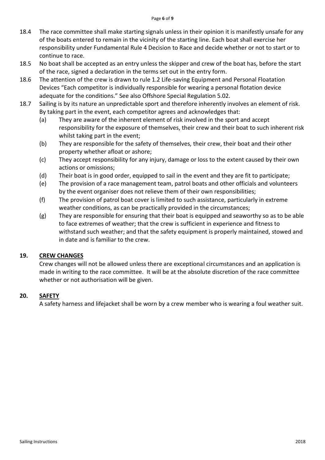#### Page **6** of **9**

- 18.4 The race committee shall make starting signals unless in their opinion it is manifestly unsafe for any of the boats entered to remain in the vicinity of the starting line. Each boat shall exercise her responsibility under Fundamental Rule 4 Decision to Race and decide whether or not to start or to continue to race.
- 18.5 No boat shall be accepted as an entry unless the skipper and crew of the boat has, before the start of the race, signed a declaration in the terms set out in the entry form.
- 18.6 The attention of the crew is drawn to rule 1.2 Life-saving Equipment and Personal Floatation Devices "Each competitor is individually responsible for wearing a personal flotation device adequate for the conditions." See also Offshore Special Regulation 5.02.
- 18.7 Sailing is by its nature an unpredictable sport and therefore inherently involves an element of risk. By taking part in the event, each competitor agrees and acknowledges that:
	- (a) They are aware of the inherent element of risk involved in the sport and accept responsibility for the exposure of themselves, their crew and their boat to such inherent risk whilst taking part in the event;
	- (b) They are responsible for the safety of themselves, their crew, their boat and their other property whether afloat or ashore;
	- (c) They accept responsibility for any injury, damage or loss to the extent caused by their own actions or omissions;
	- (d) Their boat is in good order, equipped to sail in the event and they are fit to participate;
	- (e) The provision of a race management team, patrol boats and other officials and volunteers by the event organiser does not relieve them of their own responsibilities;
	- (f) The provision of patrol boat cover is limited to such assistance, particularly in extreme weather conditions, as can be practically provided in the circumstances;
	- (g) They are responsible for ensuring that their boat is equipped and seaworthy so as to be able to face extremes of weather; that the crew is sufficient in experience and fitness to withstand such weather; and that the safety equipment is properly maintained, stowed and in date and is familiar to the crew.

#### **19. CREW CHANGES**

Crew changes will not be allowed unless there are exceptional circumstances and an application is made in writing to the race committee. It will be at the absolute discretion of the race committee whether or not authorisation will be given.

#### **20. SAFETY**

A safety harness and lifejacket shall be worn by a crew member who is wearing a foul weather suit.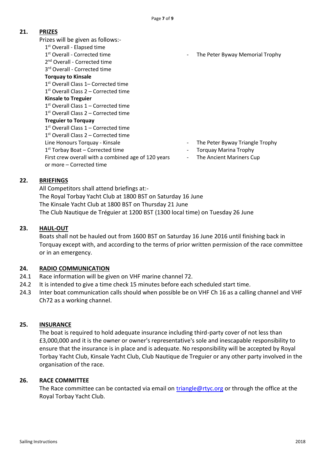#### **21. PRIZES**

Prizes will be given as follows:-

- 1st Overall Elapsed time
- 1<sup>st</sup> Overall Corrected time
- 2<sup>nd</sup> Overall Corrected time
- 3<sup>rd</sup> Overall Corrected time
- **Torquay to Kinsale**
- 1 st Overall Class 1– Corrected time 1<sup>st</sup> Overall Class 2 – Corrected time

### **Kinsale to Treguier**

- 1<sup>st</sup> Overall Class 1 Corrected time
- 1 st Overall Class 2 Corrected time

- **Treguier to Torquay**
- 1 st Overall Class 1 Corrected time
- 1 st Overall Class 2 Corrected time
- 
- 
- First crew overall with a combined age of 120 years or more – Corrected time

The Peter Byway Memorial Trophy

- Line Honours Torquay Kinsale  **The Peter Byway Triangle Trophy**
- 1<sup>st</sup> Torbay Boat Corrected time **comparished as a controlled time** and the Torquay Marina Trophy
	- The Ancient Mariners Cup

#### **22. BRIEFINGS**

All Competitors shall attend briefings at:- The Royal Torbay Yacht Club at 1800 BST on Saturday 16 June The Kinsale Yacht Club at 1800 BST on Thursday 21 June The Club Nautique de Tréguier at 1200 BST (1300 local time) on Tuesday 26 June

#### **23. HAUL-OUT**

Boats shall not be hauled out from 1600 BST on Saturday 16 June 2016 until finishing back in Torquay except with, and according to the terms of prior written permission of the race committee or in an emergency.

#### **24. RADIO COMMUNICATION**

- 24.1 Race information will be given on VHF marine channel 72.
- 24.2 It is intended to give a time check 15 minutes before each scheduled start time.
- 24.3 Inter boat communication calls should when possible be on VHF Ch 16 as a calling channel and VHF Ch72 as a working channel.

#### **25. INSURANCE**

The boat is required to hold adequate insurance including third-party cover of not less than £3,000,000 and it is the owner or owner's representative's sole and inescapable responsibility to ensure that the insurance is in place and is adequate. No responsibility will be accepted by Royal Torbay Yacht Club, Kinsale Yacht Club, Club Nautique de Treguier or any other party involved in the organisation of the race.

#### **26. RACE COMMITTEE**

The Race committee can be contacted via email on [triangle@rtyc.org](mailto:triangle@rtyc.org) or through the office at the Royal Torbay Yacht Club.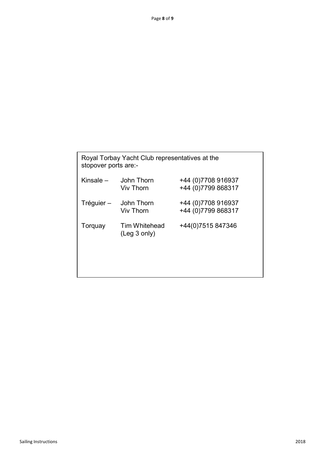| Royal Torbay Yacht Club representatives at the<br>stopover ports are:- |                                       |                                            |  |  |  |  |  |
|------------------------------------------------------------------------|---------------------------------------|--------------------------------------------|--|--|--|--|--|
| Kinsale –                                                              | John Thorn<br>Viv Thorn               | +44 (0) 7708 916937<br>+44 (0) 7799 868317 |  |  |  |  |  |
| Tréguier –                                                             | John Thorn<br><b>Viv Thorn</b>        | +44 (0) 7708 916937<br>+44 (0) 7799 868317 |  |  |  |  |  |
| Torquay                                                                | Tim Whitehead<br>$($ Leg $3$ only $)$ | +44(0)7515 847346                          |  |  |  |  |  |